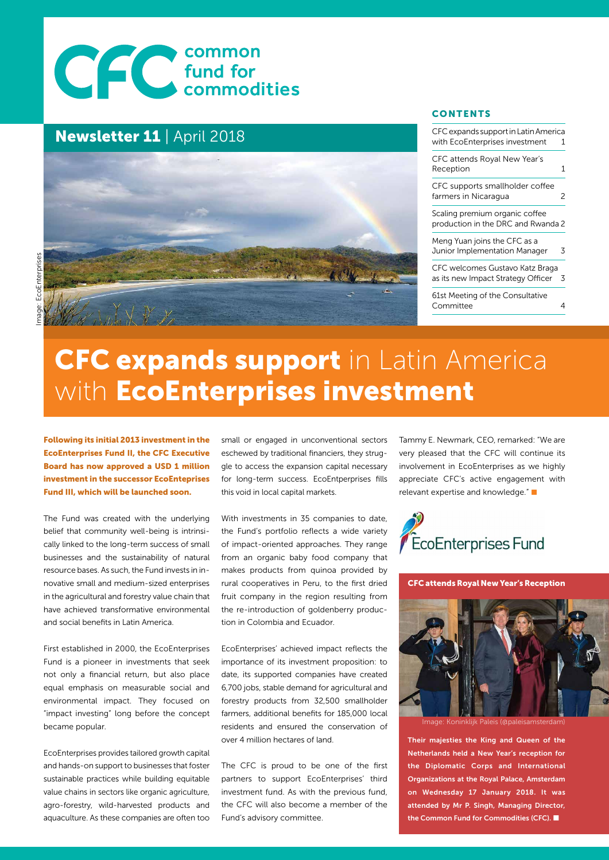# COMMON COMMON

## Newsletter 11 | April 2018



# EcoEnterprises Image: EcoEnterprises

# **CFC expands support** in Latin America with EcoEnterprises investment

Following its initial 2013 investment in the EcoEnterprises Fund II, the CFC Executive Board has now approved a USD 1 million investment in the successor EcoEnteprises Fund III, which will be launched soon.

The Fund was created with the underlying belief that community well-being is intrinsically linked to the long-term success of small businesses and the sustainability of natural resource bases. As such, the Fund invests in innovative small and medium-sized enterprises in the agricultural and forestry value chain that have achieved transformative environmental and social benefits in Latin America.

First established in 2000, the EcoEnterprises Fund is a pioneer in investments that seek not only a financial return, but also place equal emphasis on measurable social and environmental impact. They focused on "impact investing" long before the concept became popular.

EcoEnterprises provides tailored growth capital and hands-on support to businesses that foster sustainable practices while building equitable value chains in sectors like organic agriculture, agro-forestry, wild-harvested products and aquaculture. As these companies are often too small or engaged in unconventional sectors eschewed by traditional financiers, they struggle to access the expansion capital necessary for long-term success. EcoEntperprises fills this void in local capital markets.

With investments in 35 companies to date, the Fund's portfolio reflects a wide variety of impact-oriented approaches. They range from an organic baby food company that makes products from quinoa provided by rural cooperatives in Peru, to the first dried fruit company in the region resulting from the re-introduction of goldenberry production in Colombia and Ecuador.

EcoEnterprises' achieved impact reflects the importance of its investment proposition: to date, its supported companies have created 6,700 jobs, stable demand for agricultural and forestry products from 32,500 smallholder farmers, additional benefits for 185,000 local residents and ensured the conservation of over 4 million hectares of land.

The CFC is proud to be one of the first partners to support EcoEnterprises' third investment fund. As with the previous fund, the CFC will also become a member of the Fund's advisory committee.

Tammy E. Newmark, CEO, remarked: "We are very pleased that the CFC will continue its involvement in EcoEnterprises as we highly appreciate CFC's active engagement with relevant expertise and knowledge." ■

**CONTENTS** 

CFC expands support in Latin America with EcoEnterprises investment 1

CFC attends Royal New Year's Reception 1 CFC supports smallholder coffee farmers in Nicaragua 2 Scaling premium organic coffee production in the DRC and Rwanda 2

Meng Yuan joins the CFC as a Junior Implementation Manager 3 CFC welcomes Gustavo Katz Braga as its new Impact Strategy Officer 3 61st Meeting of the Consultative Committee 4



CFC attends Royal New Year's Reception



Image: Koninklijk Paleis (@paleisamsterdam)

Their majesties the King and Queen of the Netherlands held a New Year's reception for the Diplomatic Corps and International Organizations at the Royal Palace, Amsterdam on Wednesday 17 January 2018. It was attended by Mr P. Singh, Managing Director, the Common Fund for Commodities (CFC).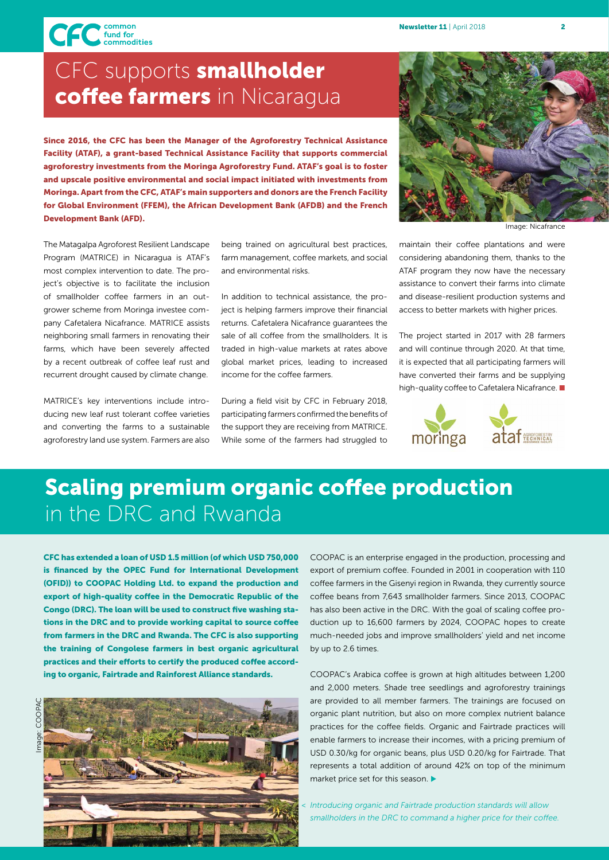CFC fund for<br>commodities

## CFC supports **smallholder** coffee farmers in Nicaragua

Since 2016, the CFC has been the Manager of the Agroforestry Technical Assistance Facility (ATAF), a grant-based Technical Assistance Facility that supports commercial agroforestry investments from the Moringa Agroforestry Fund. ATAF's goal is to foster and upscale positive environmental and social impact initiated with investments from Moringa. Apart from the CFC, ATAF's main supporters and donors are the French Facility for Global Environment (FFEM), the African Development Bank (AFDB) and the French Development Bank (AFD).

The Matagalpa Agroforest Resilient Landscape Program (MATRICE) in Nicaragua is ATAF's most complex intervention to date. The project's objective is to facilitate the inclusion of smallholder coffee farmers in an outgrower scheme from Moringa investee company Cafetalera Nicafrance. MATRICE assists neighboring small farmers in renovating their farms, which have been severely affected by a recent outbreak of coffee leaf rust and recurrent drought caused by climate change.

MATRICE's key interventions include introducing new leaf rust tolerant coffee varieties and converting the farms to a sustainable agroforestry land use system. Farmers are also being trained on agricultural best practices, farm management, coffee markets, and social and environmental risks.

In addition to technical assistance, the project is helping farmers improve their financial returns. Cafetalera Nicafrance guarantees the sale of all coffee from the smallholders. It is traded in high-value markets at rates above global market prices, leading to increased income for the coffee farmers.

During a field visit by CFC in February 2018, participating farmers confirmed the benefits of the support they are receiving from MATRICE. While some of the farmers had struggled to



Image: Nicafrance

maintain their coffee plantations and were considering abandoning them, thanks to the ATAF program they now have the necessary assistance to convert their farms into climate and disease-resilient production systems and access to better markets with higher prices.

The project started in 2017 with 28 farmers and will continue through 2020. At that time, it is expected that all participating farmers will have converted their farms and be supplying high-quality coffee to Cafetalera Nicafrance. ■



# Scaling premium organic coffee production in the DRC and Rwanda

CFC has extended a loan of USD 1.5 million (of which USD 750,000 is financed by the OPEC Fund for International Development (OFID)) to COOPAC Holding Ltd. to expand the production and export of high-quality coffee in the Democratic Republic of the Congo (DRC). The loan will be used to construct five washing stations in the DRC and to provide working capital to source coffee from farmers in the DRC and Rwanda. The CFC is also supporting the training of Congolese farmers in best organic agricultural practices and their efforts to certify the produced coffee according to organic, Fairtrade and Rainforest Alliance standards.



COOPAC is an enterprise engaged in the production, processing and export of premium coffee. Founded in 2001 in cooperation with 110 coffee farmers in the Gisenyi region in Rwanda, they currently source coffee beans from 7,643 smallholder farmers. Since 2013, COOPAC has also been active in the DRC. With the goal of scaling coffee production up to 16,600 farmers by 2024, COOPAC hopes to create much-needed jobs and improve smallholders' yield and net income by up to 2.6 times.

COOPAC's Arabica coffee is grown at high altitudes between 1,200 and 2,000 meters. Shade tree seedlings and agroforestry trainings are provided to all member farmers. The trainings are focused on organic plant nutrition, but also on more complex nutrient balance practices for the coffee fields. Organic and Fairtrade practices will enable farmers to increase their incomes, with a pricing premium of USD 0.30/kg for organic beans, plus USD 0.20/kg for Fairtrade. That represents a total addition of around 42% on top of the minimum market price set for this season.  $\blacktriangleright$ 

*< Introducing organic and Fairtrade production standards will allow smallholders in the DRC to command a higher price for their coffee.*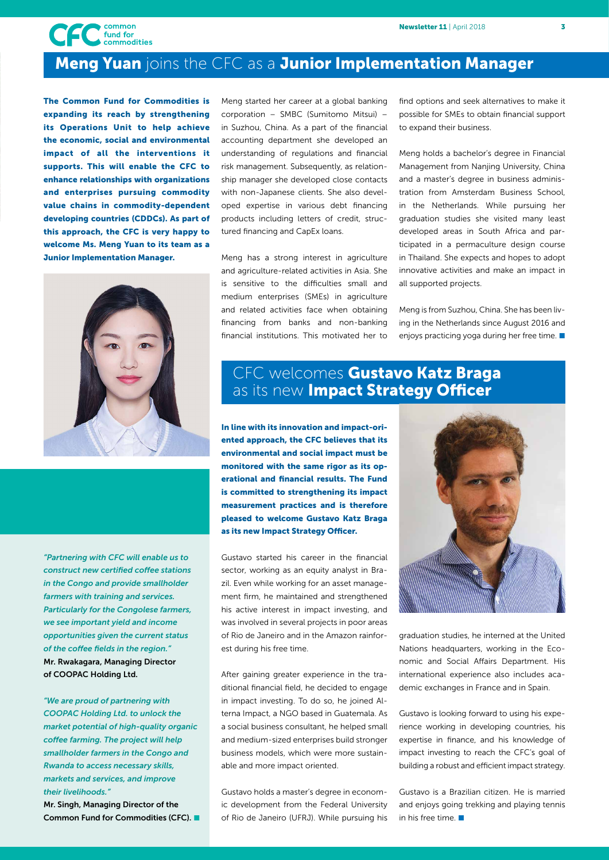

## Meng Yuan joins the CFC as a Junior Implementation Manager

The Common Fund for Commodities is expanding its reach by strengthening its Operations Unit to help achieve the economic, social and environmental impact of all the interventions it supports. This will enable the CFC to enhance relationships with organizations and enterprises pursuing commodity value chains in commodity-dependent developing countries (CDDCs). As part of this approach, the CFC is very happy to welcome Ms. Meng Yuan to its team as a Junior Implementation Manager.



*"Partnering with CFC will enable us to construct new certified coffee stations in the Congo and provide smallholder farmers with training and services. Particularly for the Congolese farmers, we see important yield and income opportunities given the current status of the coffee fields in the region."*  Mr. Rwakagara, Managing Director of COOPAC Holding Ltd.

*"We are proud of partnering with COOPAC Holding Ltd. to unlock the market potential of high-quality organic coffee farming. The project will help smallholder farmers in the Congo and Rwanda to access necessary skills, markets and services, and improve their livelihoods."* 

Mr. Singh, Managing Director of the Common Fund for Commodities (CFC). Meng started her career at a global banking corporation – SMBC (Sumitomo Mitsui) – in Suzhou, China. As a part of the financial accounting department she developed an understanding of regulations and financial risk management. Subsequently, as relationship manager she developed close contacts with non-Japanese clients. She also developed expertise in various debt financing products including letters of credit, structured financing and CapEx loans.

Meng has a strong interest in agriculture and agriculture-related activities in Asia. She is sensitive to the difficulties small and medium enterprises (SMEs) in agriculture and related activities face when obtaining financing from banks and non-banking financial institutions. This motivated her to

find options and seek alternatives to make it possible for SMEs to obtain financial support to expand their business.

Meng holds a bachelor's degree in Financial Management from Nanjing University, China and a master's degree in business administration from Amsterdam Business School, in the Netherlands. While pursuing her graduation studies she visited many least developed areas in South Africa and participated in a permaculture design course in Thailand. She expects and hopes to adopt innovative activities and make an impact in all supported projects.

Meng is from Suzhou, China. She has been living in the Netherlands since August 2016 and enjoys practicing yoga during her free time.  $\blacksquare$ 

## CFC welcomes **Gustavo Katz Braga** as its new Impact Strategy Officer

In line with its innovation and impact-oriented approach, the CFC believes that its environmental and social impact must be monitored with the same rigor as its operational and financial results. The Fund is committed to strengthening its impact measurement practices and is therefore pleased to welcome Gustavo Katz Braga as its new Impact Strategy Officer.

Gustavo started his career in the financial sector, working as an equity analyst in Brazil. Even while working for an asset management firm, he maintained and strengthened his active interest in impact investing, and was involved in several projects in poor areas of Rio de Janeiro and in the Amazon rainforest during his free time.

After gaining greater experience in the traditional financial field, he decided to engage in impact investing. To do so, he joined Alterna Impact, a NGO based in Guatemala. As a social business consultant, he helped small and medium-sized enterprises build stronger business models, which were more sustainable and more impact oriented.

Gustavo holds a master's degree in economic development from the Federal University of Rio de Janeiro (UFRJ). While pursuing his



graduation studies, he interned at the United Nations headquarters, working in the Economic and Social Affairs Department. His international experience also includes academic exchanges in France and in Spain.

Gustavo is looking forward to using his experience working in developing countries, his expertise in finance, and his knowledge of impact investing to reach the CFC's goal of building a robust and efficient impact strategy.

Gustavo is a Brazilian citizen. He is married and enjoys going trekking and playing tennis in his free time